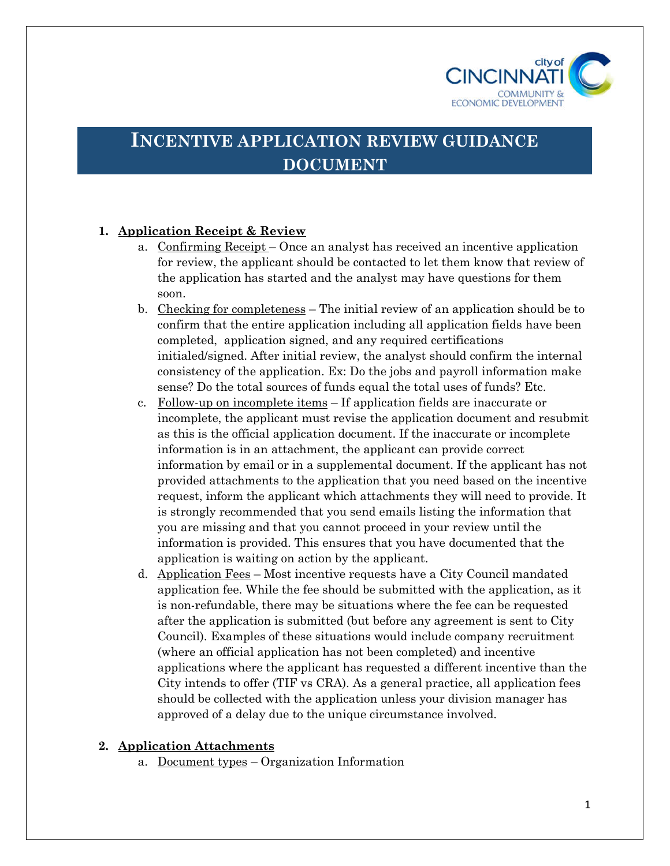

# **INCENTIVE APPLICATION REVIEW GUIDANCE DOCUMENT**

# **1. Application Receipt & Review**

- a. Confirming Receipt Once an analyst has received an incentive application for review, the applicant should be contacted to let them know that review of the application has started and the analyst may have questions for them soon.
- b. Checking for completeness The initial review of an application should be to confirm that the entire application including all application fields have been completed, application signed, and any required certifications initialed/signed. After initial review, the analyst should confirm the internal consistency of the application. Ex: Do the jobs and payroll information make sense? Do the total sources of funds equal the total uses of funds? Etc.
- c. Follow-up on incomplete items If application fields are inaccurate or incomplete, the applicant must revise the application document and resubmit as this is the official application document. If the inaccurate or incomplete information is in an attachment, the applicant can provide correct information by email or in a supplemental document. If the applicant has not provided attachments to the application that you need based on the incentive request, inform the applicant which attachments they will need to provide. It is strongly recommended that you send emails listing the information that you are missing and that you cannot proceed in your review until the information is provided. This ensures that you have documented that the application is waiting on action by the applicant.
- d. Application Fees Most incentive requests have a City Council mandated application fee. While the fee should be submitted with the application, as it is non-refundable, there may be situations where the fee can be requested after the application is submitted (but before any agreement is sent to City Council). Examples of these situations would include company recruitment (where an official application has not been completed) and incentive applications where the applicant has requested a different incentive than the City intends to offer (TIF vs CRA). As a general practice, all application fees should be collected with the application unless your division manager has approved of a delay due to the unique circumstance involved.

## **2. Application Attachments**

a. Document types – Organization Information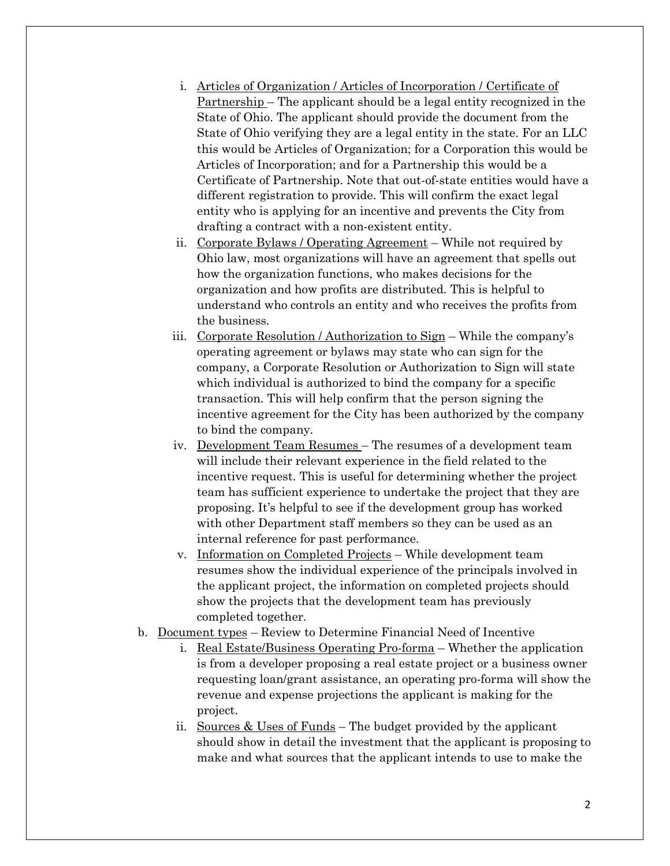- i. Articles of Organization / Articles of Incorporation / Certificate of Partnership – The applicant should be a legal entity recognized in the State of Ohio. The applicant should provide the document from the State of Ohio verifying they are a legal entity in the state. For an LLC this would be Articles of Organization; for a Corporation this would be Articles of Incorporation; and for a Partnership this would be a Certificate of Partnership. Note that out-of-state entities would have a different registration to provide. This will confirm the exact legal entity who is applying for an incentive and prevents the City from drafting a contract with a non-existent entity.
- ii. Corporate Bylaws / Operating Agreement While not required by Ohio law, most organizations will have an agreement that spells out how the organization functions, who makes decisions for the organization and how profits are distributed. This is helpful to understand who controls an entity and who receives the profits from the business.
- iii. Corporate Resolution / Authorization to Sign While the company's operating agreement or bylaws may state who can sign for the company, a Corporate Resolution or Authorization to Sign will state which individual is authorized to bind the company for a specific transaction. This will help confirm that the person signing the incentive agreement for the City has been authorized by the company to bind the company.
- iv. Development Team Resumes The resumes of a development team will include their relevant experience in the field related to the incentive request. This is useful for determining whether the project team has sufficient experience to undertake the project that they are proposing. It's helpful to see if the development group has worked with other Department staff members so they can be used as an internal reference for past performance.
- v. Information on Completed Projects While development team resumes show the individual experience of the principals involved in the applicant project, the information on completed projects should show the projects that the development team has previously completed together.
- b. Document types Review to Determine Financial Need of Incentive
	- i. Real Estate/Business Operating Pro-forma Whether the application is from a developer proposing a real estate project or a business owner requesting loan/grant assistance, an operating pro-forma will show the revenue and expense projections the applicant is making for the project.
	- ii. Sources & Uses of Funds The budget provided by the applicant should show in detail the investment that the applicant is proposing to make and what sources that the applicant intends to use to make the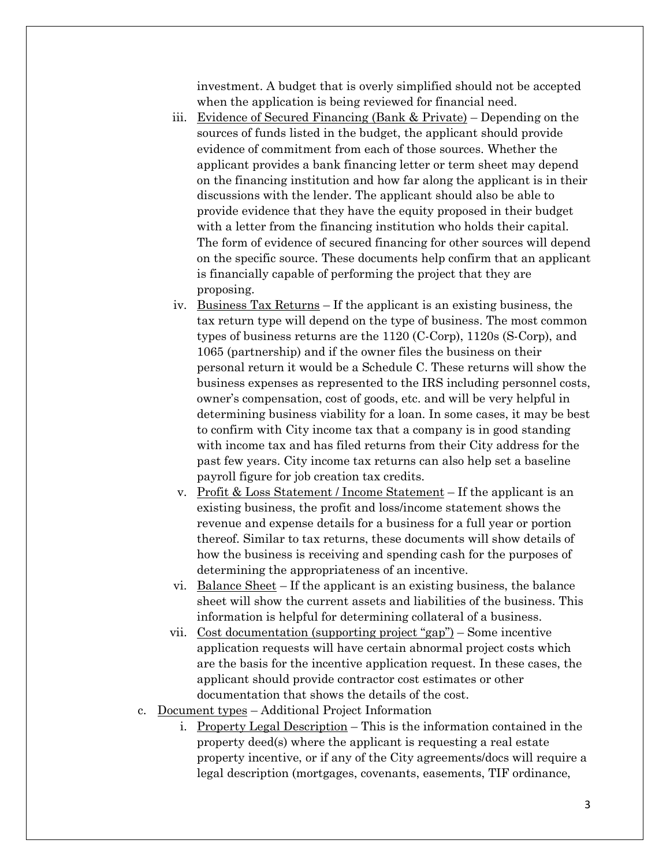investment. A budget that is overly simplified should not be accepted when the application is being reviewed for financial need.

- iii. Evidence of Secured Financing (Bank & Private) Depending on the sources of funds listed in the budget, the applicant should provide evidence of commitment from each of those sources. Whether the applicant provides a bank financing letter or term sheet may depend on the financing institution and how far along the applicant is in their discussions with the lender. The applicant should also be able to provide evidence that they have the equity proposed in their budget with a letter from the financing institution who holds their capital. The form of evidence of secured financing for other sources will depend on the specific source. These documents help confirm that an applicant is financially capable of performing the project that they are proposing.
- iv. Business Tax Returns If the applicant is an existing business, the tax return type will depend on the type of business. The most common types of business returns are the 1120 (C-Corp), 1120s (S-Corp), and 1065 (partnership) and if the owner files the business on their personal return it would be a Schedule C. These returns will show the business expenses as represented to the IRS including personnel costs, owner's compensation, cost of goods, etc. and will be very helpful in determining business viability for a loan. In some cases, it may be best to confirm with City income tax that a company is in good standing with income tax and has filed returns from their City address for the past few years. City income tax returns can also help set a baseline payroll figure for job creation tax credits.
- v. Profit & Loss Statement / Income Statement If the applicant is an existing business, the profit and loss/income statement shows the revenue and expense details for a business for a full year or portion thereof. Similar to tax returns, these documents will show details of how the business is receiving and spending cash for the purposes of determining the appropriateness of an incentive.
- vi. Balance Sheet If the applicant is an existing business, the balance sheet will show the current assets and liabilities of the business. This information is helpful for determining collateral of a business.
- vii. Cost documentation (supporting project "gap") Some incentive application requests will have certain abnormal project costs which are the basis for the incentive application request. In these cases, the applicant should provide contractor cost estimates or other documentation that shows the details of the cost.
- c. Document types Additional Project Information
	- i. Property Legal Description This is the information contained in the property deed(s) where the applicant is requesting a real estate property incentive, or if any of the City agreements/docs will require a legal description (mortgages, covenants, easements, TIF ordinance,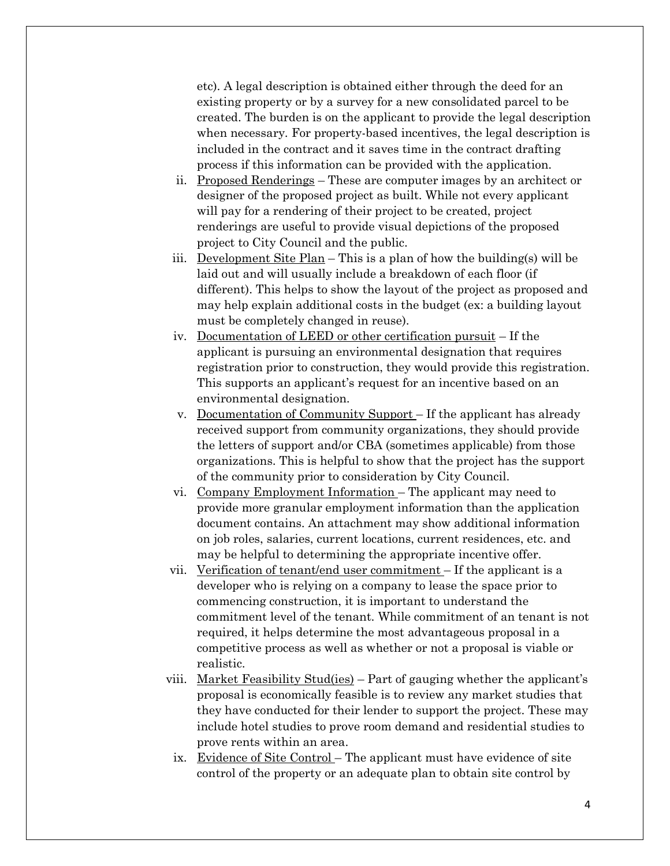etc). A legal description is obtained either through the deed for an existing property or by a survey for a new consolidated parcel to be created. The burden is on the applicant to provide the legal description when necessary. For property-based incentives, the legal description is included in the contract and it saves time in the contract drafting process if this information can be provided with the application.

- ii. Proposed Renderings These are computer images by an architect or designer of the proposed project as built. While not every applicant will pay for a rendering of their project to be created, project renderings are useful to provide visual depictions of the proposed project to City Council and the public.
- iii. <u>Development Site Plan</u> This is a plan of how the building(s) will be laid out and will usually include a breakdown of each floor (if different). This helps to show the layout of the project as proposed and may help explain additional costs in the budget (ex: a building layout must be completely changed in reuse).
- iv. Documentation of LEED or other certification pursuit If the applicant is pursuing an environmental designation that requires registration prior to construction, they would provide this registration. This supports an applicant's request for an incentive based on an environmental designation.
- v. Documentation of Community Support If the applicant has already received support from community organizations, they should provide the letters of support and/or CBA (sometimes applicable) from those organizations. This is helpful to show that the project has the support of the community prior to consideration by City Council.
- vi. Company Employment Information The applicant may need to provide more granular employment information than the application document contains. An attachment may show additional information on job roles, salaries, current locations, current residences, etc. and may be helpful to determining the appropriate incentive offer.
- vii. Verification of tenant/end user commitment If the applicant is a developer who is relying on a company to lease the space prior to commencing construction, it is important to understand the commitment level of the tenant. While commitment of an tenant is not required, it helps determine the most advantageous proposal in a competitive process as well as whether or not a proposal is viable or realistic.
- viii. Market Feasibility Stud(ies) Part of gauging whether the applicant's proposal is economically feasible is to review any market studies that they have conducted for their lender to support the project. These may include hotel studies to prove room demand and residential studies to prove rents within an area.
	- ix. Evidence of Site Control The applicant must have evidence of site control of the property or an adequate plan to obtain site control by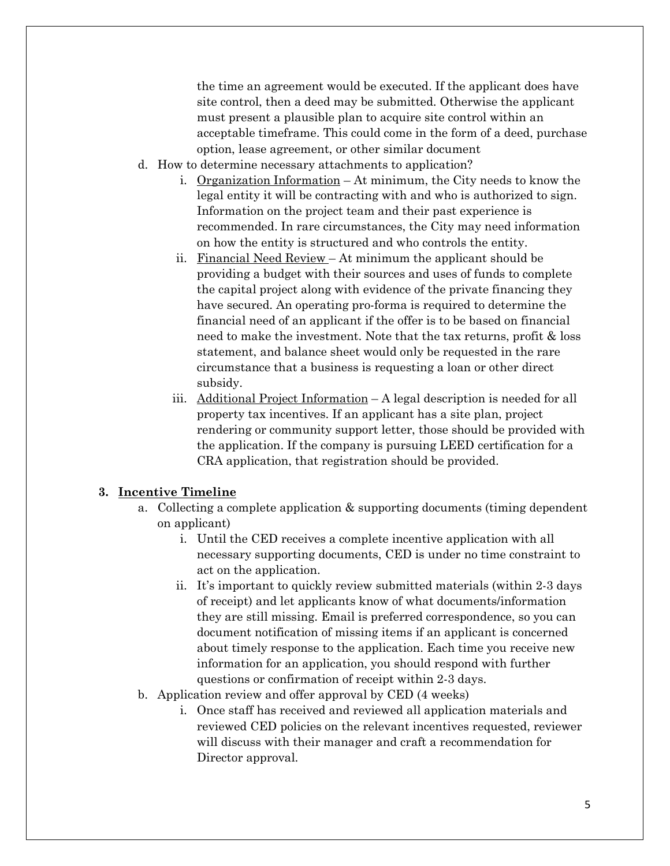the time an agreement would be executed. If the applicant does have site control, then a deed may be submitted. Otherwise the applicant must present a plausible plan to acquire site control within an acceptable timeframe. This could come in the form of a deed, purchase option, lease agreement, or other similar document

- d. How to determine necessary attachments to application?
	- i. Organization Information At minimum, the City needs to know the legal entity it will be contracting with and who is authorized to sign. Information on the project team and their past experience is recommended. In rare circumstances, the City may need information on how the entity is structured and who controls the entity.
	- ii. Financial Need Review At minimum the applicant should be providing a budget with their sources and uses of funds to complete the capital project along with evidence of the private financing they have secured. An operating pro-forma is required to determine the financial need of an applicant if the offer is to be based on financial need to make the investment. Note that the tax returns, profit & loss statement, and balance sheet would only be requested in the rare circumstance that a business is requesting a loan or other direct subsidy.
	- iii. Additional Project Information A legal description is needed for all property tax incentives. If an applicant has a site plan, project rendering or community support letter, those should be provided with the application. If the company is pursuing LEED certification for a CRA application, that registration should be provided.

#### **3. Incentive Timeline**

- a. Collecting a complete application & supporting documents (timing dependent on applicant)
	- i. Until the CED receives a complete incentive application with all necessary supporting documents, CED is under no time constraint to act on the application.
	- ii. It's important to quickly review submitted materials (within 2-3 days of receipt) and let applicants know of what documents/information they are still missing. Email is preferred correspondence, so you can document notification of missing items if an applicant is concerned about timely response to the application. Each time you receive new information for an application, you should respond with further questions or confirmation of receipt within 2-3 days.
- b. Application review and offer approval by CED (4 weeks)
	- i. Once staff has received and reviewed all application materials and reviewed CED policies on the relevant incentives requested, reviewer will discuss with their manager and craft a recommendation for Director approval.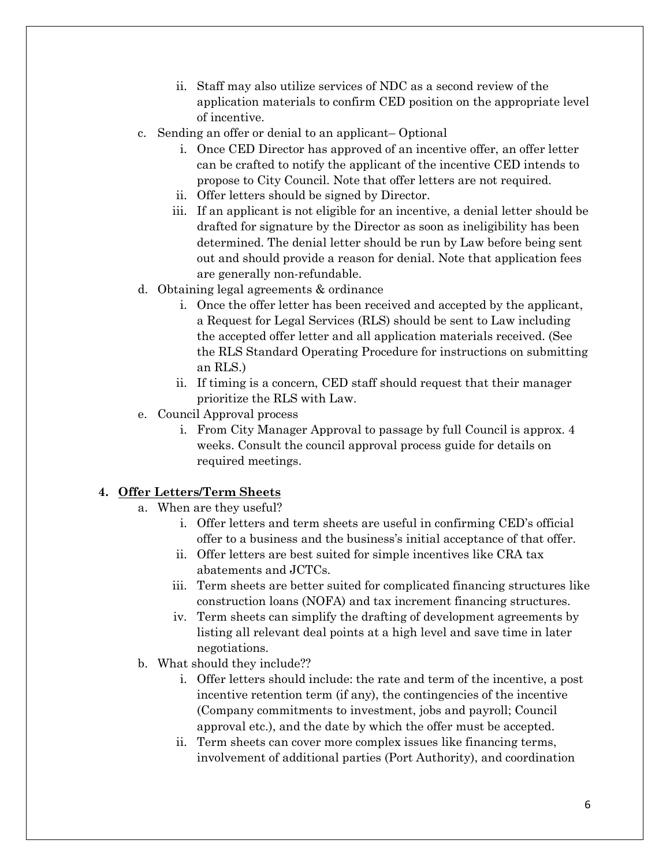- ii. Staff may also utilize services of NDC as a second review of the application materials to confirm CED position on the appropriate level of incentive.
- c. Sending an offer or denial to an applicant– Optional
	- i. Once CED Director has approved of an incentive offer, an offer letter can be crafted to notify the applicant of the incentive CED intends to propose to City Council. Note that offer letters are not required.
	- ii. Offer letters should be signed by Director.
	- iii. If an applicant is not eligible for an incentive, a denial letter should be drafted for signature by the Director as soon as ineligibility has been determined. The denial letter should be run by Law before being sent out and should provide a reason for denial. Note that application fees are generally non-refundable.
- d. Obtaining legal agreements & ordinance
	- i. Once the offer letter has been received and accepted by the applicant, a Request for Legal Services (RLS) should be sent to Law including the accepted offer letter and all application materials received. (See the RLS Standard Operating Procedure for instructions on submitting an RLS.)
	- ii. If timing is a concern, CED staff should request that their manager prioritize the RLS with Law.
- e. Council Approval process
	- i. From City Manager Approval to passage by full Council is approx. 4 weeks. Consult the council approval process guide for details on required meetings.

## **4. Offer Letters/Term Sheets**

- a. When are they useful?
	- i. Offer letters and term sheets are useful in confirming CED's official offer to a business and the business's initial acceptance of that offer.
	- ii. Offer letters are best suited for simple incentives like CRA tax abatements and JCTCs.
	- iii. Term sheets are better suited for complicated financing structures like construction loans (NOFA) and tax increment financing structures.
	- iv. Term sheets can simplify the drafting of development agreements by listing all relevant deal points at a high level and save time in later negotiations.
- b. What should they include??
	- i. Offer letters should include: the rate and term of the incentive, a post incentive retention term (if any), the contingencies of the incentive (Company commitments to investment, jobs and payroll; Council approval etc.), and the date by which the offer must be accepted.
	- ii. Term sheets can cover more complex issues like financing terms, involvement of additional parties (Port Authority), and coordination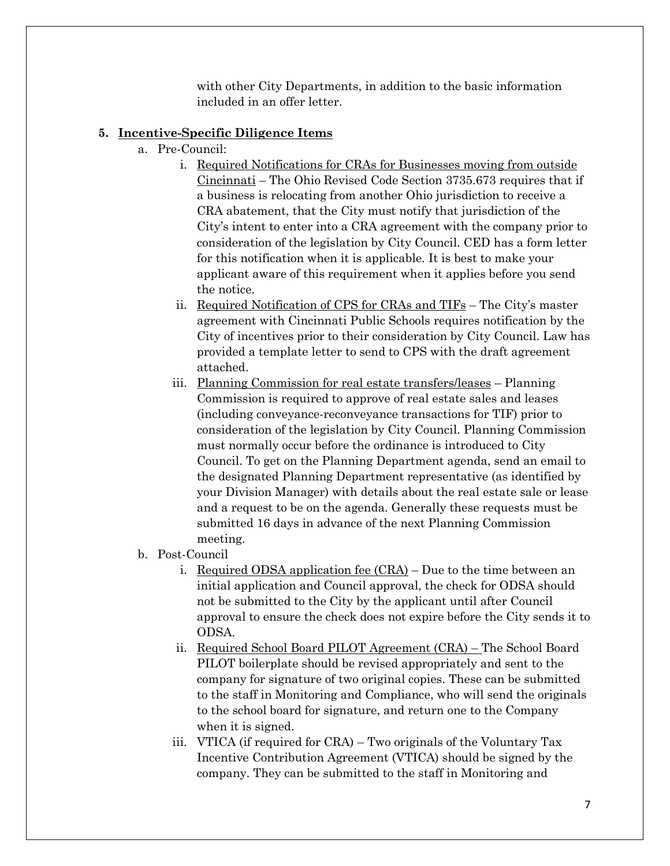with other City Departments, in addition to the basic information included in an offer letter.

## **5. Incentive-Specific Diligence Items**

- a. Pre-Council:
	- i. Required Notifications for CRAs for Businesses moving from outside Cincinnati – The Ohio Revised Code Section 3735.673 requires that if a business is relocating from another Ohio jurisdiction to receive a CRA abatement, that the City must notify that jurisdiction of the City's intent to enter into a CRA agreement with the company prior to consideration of the legislation by City Council. CED has a form letter for this notification when it is applicable. It is best to make your applicant aware of this requirement when it applies before you send the notice.
	- ii. Required Notification of CPS for CRAs and TIFs The City's master agreement with Cincinnati Public Schools requires notification by the City of incentives prior to their consideration by City Council. Law has provided a template letter to send to CPS with the draft agreement attached.
	- iii. Planning Commission for real estate transfers/leases Planning Commission is required to approve of real estate sales and leases (including conveyance-reconveyance transactions for TIF) prior to consideration of the legislation by City Council. Planning Commission must normally occur before the ordinance is introduced to City Council. To get on the Planning Department agenda, send an email to the designated Planning Department representative (as identified by your Division Manager) with details about the real estate sale or lease and a request to be on the agenda. Generally these requests must be submitted 16 days in advance of the next Planning Commission meeting.
- b. Post-Council
	- i. Required ODSA application fee  $(CRA)$  Due to the time between an initial application and Council approval, the check for ODSA should not be submitted to the City by the applicant until after Council approval to ensure the check does not expire before the City sends it to ODSA.
	- ii. Required School Board PILOT Agreement (CRA) The School Board PILOT boilerplate should be revised appropriately and sent to the company for signature of two original copies. These can be submitted to the staff in Monitoring and Compliance, who will send the originals to the school board for signature, and return one to the Company when it is signed.
	- iii. VTICA (if required for CRA) Two originals of the Voluntary Tax Incentive Contribution Agreement (VTICA) should be signed by the company. They can be submitted to the staff in Monitoring and